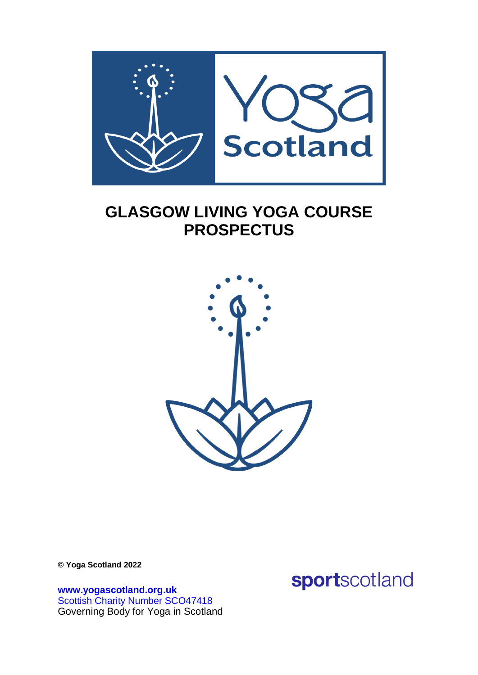

# **GLASGOW LIVING YOGA COURSE PROSPECTUS**



**© Yoga Scotland 2022**

**[www.yogascotland.org.uk](http://www.yogascotland.org.uk/)** Scottish Charity Number SCO47418 Governing Body for Yoga in Scotland sportscotland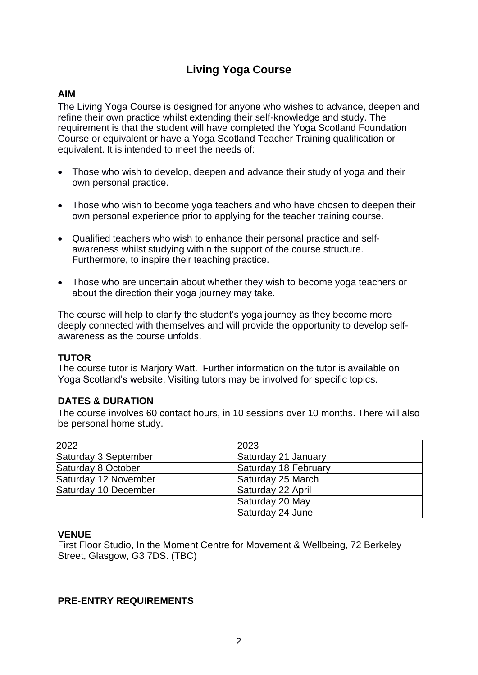## **Living Yoga Course**

## **AIM**

The Living Yoga Course is designed for anyone who wishes to advance, deepen and refine their own practice whilst extending their self-knowledge and study. The requirement is that the student will have completed the Yoga Scotland Foundation Course or equivalent or have a Yoga Scotland Teacher Training qualification or equivalent. It is intended to meet the needs of:

- Those who wish to develop, deepen and advance their study of yoga and their own personal practice.
- Those who wish to become yoga teachers and who have chosen to deepen their own personal experience prior to applying for the teacher training course.
- Qualified teachers who wish to enhance their personal practice and selfawareness whilst studying within the support of the course structure. Furthermore, to inspire their teaching practice.
- Those who are uncertain about whether they wish to become yoga teachers or about the direction their yoga journey may take.

The course will help to clarify the student's yoga journey as they become more deeply connected with themselves and will provide the opportunity to develop selfawareness as the course unfolds.

## **TUTOR**

The course tutor is Marjory Watt. Further information on the tutor is available on Yoga Scotland's website. Visiting tutors may be involved for specific topics.

## **DATES & DURATION**

The course involves 60 contact hours, in 10 sessions over 10 months. There will also be personal home study.

| 2022                 | 2023                 |
|----------------------|----------------------|
| Saturday 3 September | Saturday 21 January  |
| Saturday 8 October   | Saturday 18 February |
| Saturday 12 November | Saturday 25 March    |
| Saturday 10 December | Saturday 22 April    |
|                      | Saturday 20 May      |
|                      | Saturday 24 June     |

#### **VENUE**

First Floor Studio, In the Moment Centre for Movement & Wellbeing, 72 Berkeley Street, Glasgow, G3 7DS. (TBC)

#### **PRE-ENTRY REQUIREMENTS**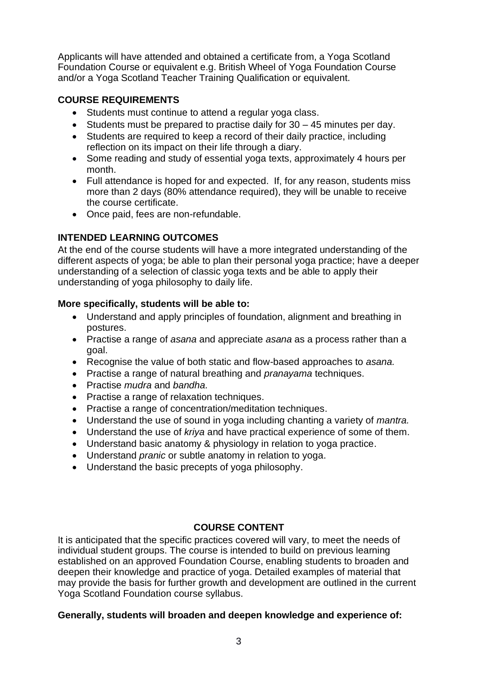Applicants will have attended and obtained a certificate from, a Yoga Scotland Foundation Course or equivalent e.g. British Wheel of Yoga Foundation Course and/or a Yoga Scotland Teacher Training Qualification or equivalent.

## **COURSE REQUIREMENTS**

- Students must continue to attend a regular yoga class.
- Students must be prepared to practise daily for 30 45 minutes per day.
- Students are required to keep a record of their daily practice, including reflection on its impact on their life through a diary.
- Some reading and study of essential yoga texts, approximately 4 hours per month.
- Full attendance is hoped for and expected. If, for any reason, students miss more than 2 days (80% attendance required), they will be unable to receive the course certificate.
- Once paid, fees are non-refundable.

## **INTENDED LEARNING OUTCOMES**

At the end of the course students will have a more integrated understanding of the different aspects of yoga; be able to plan their personal yoga practice; have a deeper understanding of a selection of classic yoga texts and be able to apply their understanding of yoga philosophy to daily life.

## **More specifically, students will be able to:**

- Understand and apply principles of foundation, alignment and breathing in postures.
- Practise a range of *asana* and appreciate *asana* as a process rather than a goal.
- Recognise the value of both static and flow-based approaches to *asana.*
- Practise a range of natural breathing and *pranayama* techniques.
- Practise *mudra* and *bandha.*
- Practise a range of relaxation techniques.
- Practise a range of concentration/meditation techniques.
- Understand the use of sound in yoga including chanting a variety of *mantra.*
- Understand the use of *kriya* and have practical experience of some of them.
- Understand basic anatomy & physiology in relation to yoga practice.
- Understand *pranic* or subtle anatomy in relation to yoga.
- Understand the basic precepts of yoga philosophy.

## **COURSE CONTENT**

It is anticipated that the specific practices covered will vary, to meet the needs of individual student groups. The course is intended to build on previous learning established on an approved Foundation Course, enabling students to broaden and deepen their knowledge and practice of yoga. Detailed examples of material that may provide the basis for further growth and development are outlined in the current Yoga Scotland Foundation course syllabus.

## **Generally, students will broaden and deepen knowledge and experience of:**